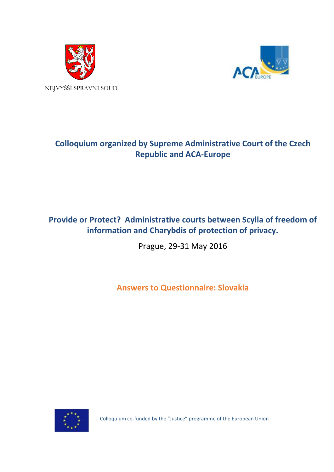



# **Colloquium organized by Supreme Administrative Court of the Czech Republic and ACA-Europe**

## **Provide or Protect? Administrative courts between Scylla of freedom of information and Charybdis of protection of privacy.**

Prague, 29-31 May 2016

**Answers to Questionnaire: Slovakia**



Colloquium co-funded by the "Justice" programme of the European Union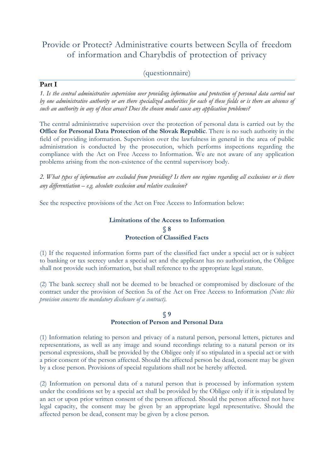## Provide or Protect? Administrative courts between Scylla of freedom of information and Charybdis of protection of privacy

## (questionnaire)

#### **Part I**

*1. Is the central administrative supervision over providing information and protection of personal data carried out by one administrative authority or are there specialized authorities for each of these fields or is there an absence of such an authority in any of these areas? Does the chosen model cause any application problems?*

The central administrative supervision over the protection of personal data is carried out by the **[Office for Personal Data Protection of](http://dataprotection.gov.sk/uoou/en) the Slovak Republic**. There is no such authority in the field of providing information. Supervision over the lawfulness in general in the area of public administration is conducted by the prosecution, which performs inspections regarding the compliance with the Act on Free Access to Information. We are not aware of any application problems arising from the non-existence of the central supervisory body.

*2. What types of information are excluded from providing? Is there one regime regarding all exclusions or is there any differentiation – e.g. absolute exclusion and relative exclusion?*

See the respective provisions of the Act on Free Access to Information below:

### **Limitations of the Access to Information § 8 Protection of Classified Facts**

(1) If the requested information forms part of the classified fact under a special act or is subject to banking or tax secrecy under a special act and the applicant has no authorization, the Obligee shall not provide such information, but shall reference to the appropriate legal statute.

(2) The bank secrecy shall not be deemed to be breached or compromised by disclosure of the contract under the provision of Section 5a of the Act on Free Access to Information *(Note: this provision concerns the mandatory disclosure of a contract)*.

#### **§ 9 Protection of Person and Personal Data**

(1) Information relating to person and privacy of a natural person, personal letters, pictures and representations, as well as any image and sound recordings relating to a natural person or its personal expressions, shall be provided by the Obligee only if so stipulated in a special act or with a prior consent of the person affected. Should the affected person be dead, consent may be given by a close person. Provisions of special regulations shall not be hereby affected.

(2) Information on personal data of a natural person that is processed by information system under the conditions set by a special act shall be provided by the Obligee only if it is stipulated by an act or upon prior written consent of the person affected. Should the person affected not have legal capacity, the consent may be given by an appropriate legal representative. Should the affected person be dead, consent may be given by a close person.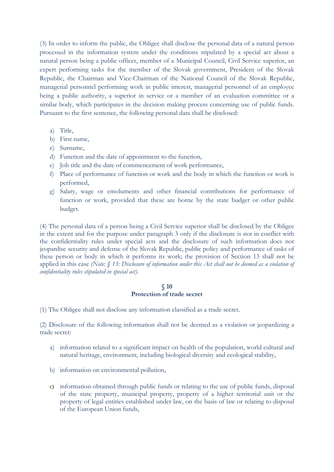(3) In order to inform the public, the Obligee shall disclose the personal data of a natural person processed in the information system under the conditions stipulated by a special act about a natural person being a public officer, member of a Municipal Council, Civil Service superior, an expert performing tasks for the member of the Slovak government, President of the Slovak Republic, the Chairman and Vice-Chairman of the National Council of the Slovak Republic, managerial personnel performing work in public interest, managerial personnel of an employee being a public authority, a superior in service or a member of an evaluation committee or a similar body, which participates in the decision making process concerning use of public funds. Pursuant to the first sentence, the following personal data shall be disclosed:

- a) Title,
- b) First name,
- c) Surname,
- d) Function and the date of appointment to the function,
- e) Job title and the date of commencement of work performance,
- f) Place of performance of function or work and the body in which the function or work is performed,
- g) Salary, wage or emoluments and other financial contributions for performance of function or work, provided that these are borne by the state budget or other public budget.

(4) The personal data of a person being a Civil Service superior shall be disclosed by the Obligee in the extent and for the purpose under paragraph 3 only if the disclosure is not in conflict with the confidentiality rules under special acts and the disclosure of such information does not jeopardise security and defense of the Slovak Republic, public policy and performance of tasks of these person or body in which it performs its work; the provision of Section 13 shall not be applied in this case *(Note: § 13: Disclosure of information under this Act shall not be deemed as a violation of confidentiality rules stipulated in special act)*.

#### **§ 10 Protection of trade secret**

(1) The Obligee shall not disclose any information classified as a trade secret.

(2) Disclosure of the following information shall not be deemed as a violation or jeopardizing a trade secret:

- a) information related to a significant impact on health of the population, world cultural and natural heritage, environment, including biological diversity and ecological stability,
- b) information on environmental pollution,
- c) information obtained through public funds or relating to the use of public funds, disposal of the state property, municipal property, property of a higher territorial unit or the property of legal entities established under law, on the basis of law or relating to disposal of the European Union funds,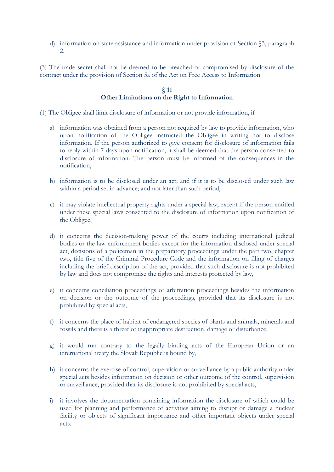d) information on state assistance and information under provision of Section §3, paragraph 2.

(3) The trade secret shall not be deemed to be breached or compromised by disclosure of the contract under the provision of Section 5a of the Act on Free Access to Information.

#### **§ 11 Other Limitations on the Right to Information**

(1) The Obligee shall limit disclosure of information or not provide information, if

- a) information was obtained from a person not required by law to provide information, who upon notification of the Obligee instructed the Obligee in writing not to disclose information. If the person authorized to give consent for disclosure of information fails to reply within 7 days upon notification, it shall be deemed that the person consented to disclosure of information. The person must be informed of the consequences in the notification,
- b) information is to be disclosed under an act; and if it is to be disclosed under such law within a period set in advance; and not later than such period,
- c) it may violate intellectual property rights under a special law, except if the person entitled under these special laws consented to the disclosure of information upon notification of the Obligee,
- d) it concerns the decision-making power of the courts including international judicial bodies or the law enforcement bodies except for the information disclosed under special act, decisions of a policeman in the preparatory proceedings under the part two, chapter two, title five of the Criminal Procedure Code and the information on filing of charges including the brief description of the act, provided that such disclosure is not prohibited by law and does not compromise the rights and interests protected by law,
- e) it concerns conciliation proceedings or arbitration proceedings besides the information on decision or the outcome of the proceedings, provided that its disclosure is not prohibited by special acts,
- f) it concerns the place of habitat of endangered species of plants and animals, minerals and fossils and there is a threat of inappropriate destruction, damage or disturbance,
- g) it would run contrary to the legally binding acts of the European Union or an international treaty the Slovak Republic is bound by,
- h) it concerns the exercise of control, supervision or surveillance by a public authority under special acts besides information on decision or other outcome of the control, supervision or surveillance, provided that its disclosure is not prohibited by special acts,
- i) it involves the documentation containing information the disclosure of which could be used for planning and performance of activities aiming to disrupt or damage a nuclear facility or objects of significant importance and other important objects under special acts.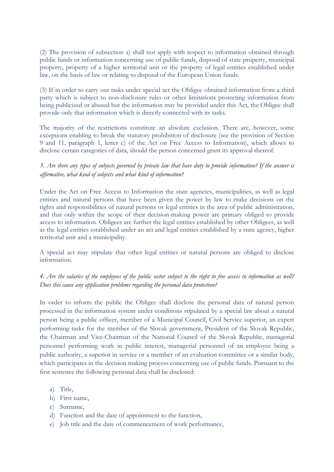(2) The provision of subsection a) shall not apply with respect to information obtained through public funds or information concerning use of public funds, disposal of state property, municipal property, property of a higher territorial unit or the property of legal entities established under law, on the basis of law or relating to disposal of the European Union funds.

(3) If in order to carry out tasks under special act the Obligee obtained information from a third party which is subject to non-disclosure rules or other limitations protecting information from being publicized or abused but the information may be provided under this Act, the Obligee shall provide only that information which is directly connected with its tasks.

The majority of the restrictions constitute an absolute exclusion. There are, however, some exceptions enabling to break the statutory prohibition of disclosure (see the provision of Section 9 and 11, paragraph 1, letter c) of the Act on Free Access to Information), which allows to disclose certain categories of data, should the person concerned grant its approval thereof.

## *3. Are there any types of subjects governed by private law that have duty to provide information? If the answer is affirmative, what kind of subjects and what kind of information?*

Under the Act on Free Access to Information the state agencies, municipalities, as well as legal entities and natural persons that have been given the power by law to make decisions on the rights and responsibilities of natural persons or legal entities in the area of public administration, and that only within the scope of their decision-making power are primary obliged to provide access to information. Obligees are further the legal entities established by other Obligees, as well as the legal entities established under an act and legal entities established by a state agency, higher territorial unit and a municipality.

A special act may stipulate that other legal entities or natural persons are obliged to disclose information.

## *4. Are the salaries of the employees of the public sector subject to the right to free access to information as well? Does this cause any application problems regarding the personal data protection?*

In order to inform the public the Obligee shall disclose the personal data of natural person processed in the information system under conditions stipulated by a special law about a natural person being a public officer, member of a Municipal Council, Civil Service superior, an expert performing tasks for the member of the Slovak government, President of the Slovak Republic, the Chairman and Vice-Chairman of the National Council of the Slovak Republic, managerial personnel performing work in public interest, managerial personnel of an employee being a public authority, a superior in service or a member of an evaluation committee or a similar body, which participates in the decision making process concerning use of public funds. Pursuant to the first sentence the following personal data shall be disclosed:

- a) Title,
- b) First name,
- c) Surname,
- d) Function and the date of appointment to the function,
- e) Job title and the date of commencement of work performance,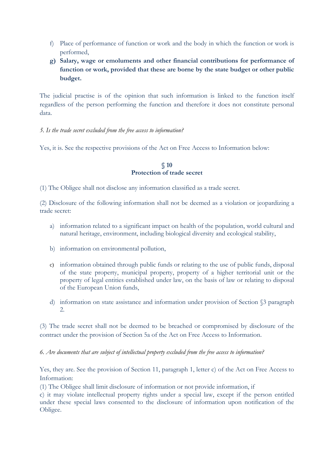- f) Place of performance of function or work and the body in which the function or work is performed,
- **g) Salary, wage or emoluments and other financial contributions for performance of function or work, provided that these are borne by the state budget or other public budget.**

The judicial practise is of the opinion that such information is linked to the function itself regardless of the person performing the function and therefore it does not constitute personal data.

### *5. Is the trade secret excluded from the free access to information?*

Yes, it is. See the respective provisions of the Act on Free Access to Information below:

### **§ 10 Protection of trade secret**

(1) The Obligee shall not disclose any information classified as a trade secret.

(2) Disclosure of the following information shall not be deemed as a violation or jeopardizing a trade secret:

- a) information related to a significant impact on health of the population, world cultural and natural heritage, environment, including biological diversity and ecological stability,
- b) information on environmental pollution,
- c) information obtained through public funds or relating to the use of public funds, disposal of the state property, municipal property, property of a higher territorial unit or the property of legal entities established under law, on the basis of law or relating to disposal of the European Union funds,
- d) information on state assistance and information under provision of Section §3 paragraph 2.

(3) The trade secret shall not be deemed to be breached or compromised by disclosure of the contract under the provision of Section 5a of the Act on Free Access to Information.

*6. Are documents that are subject of intellectual property excluded from the free access to information?*

Yes, they are. See the provision of Section 11, paragraph 1, letter c) of the Act on Free Access to Information:

(1) The Obligee shall limit disclosure of information or not provide information, if

c) it may violate intellectual property rights under a special law, except if the person entitled under these special laws consented to the disclosure of information upon notification of the Obligee.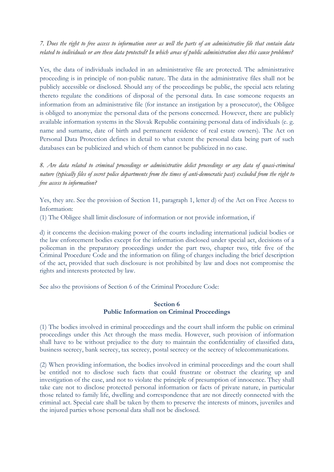*7. Does the right to free access to information cover as well the parts of an administrative file that contain data related to individuals or are these data protected? In which areas of public administration does this cause problems?*

Yes, the data of individuals included in an administrative file are protected. The administrative proceeding is in principle of non-public nature. The data in the administrative files shall not be publicly accessible or disclosed. Should any of the proceedings be public, the special acts relating thereto regulate the conditions of disposal of the personal data. In case someone requests an information from an administrative file (for instance an instigation by a prosecutor), the Obligee is obliged to anonymize the personal data of the persons concerned. However, there are publicly available information systems in the Slovak Republic containing personal data of individuals (e. g. name and surname, date of birth and permanent residence of real estate owners). The Act on Personal Data Protection defines in detail to what extent the personal data being part of such databases can be publicized and which of them cannot be publicized in no case.

*8. Are data related to criminal proceedings or administrative delict proceedings or any data of quasi-criminal nature (typically files of secret police departments from the times of anti-democratic past) excluded from the right to free access to information?*

Yes, they are. See the provision of Section 11, paragraph 1, letter d) of the Act on Free Access to Information:

(1) The Obligee shall limit disclosure of information or not provide information, if

d) it concerns the decision-making power of the courts including international judicial bodies or the law enforcement bodies except for the information disclosed under special act, decisions of a policeman in the preparatory proceedings under the part two, chapter two, title five of the Criminal Procedure Code and the information on filing of charges including the brief description of the act, provided that such disclosure is not prohibited by law and does not compromise the rights and interests protected by law.

See also the provisions of Section 6 of the Criminal Procedure Code:

## **Section 6 Public Information on Criminal Proceedings**

(1) The bodies involved in criminal proceedings and the court shall inform the public on criminal proceedings under this Act through the mass media. However, such provision of information shall have to be without prejudice to the duty to maintain the confidentiality of classified data, business secrecy, bank secrecy, tax secrecy, postal secrecy or the secrecy of telecommunications.

(2) When providing information, the bodies involved in criminal proceedings and the court shall be entitled not to disclose such facts that could frustrate or obstruct the clearing up and investigation of the case, and not to violate the principle of presumption of innocence. They shall take care not to disclose protected personal information or facts of private nature, in particular those related to family life, dwelling and correspondence that are not directly connected with the criminal act. Special care shall be taken by them to preserve the interests of minors, juveniles and the injured parties whose personal data shall not be disclosed.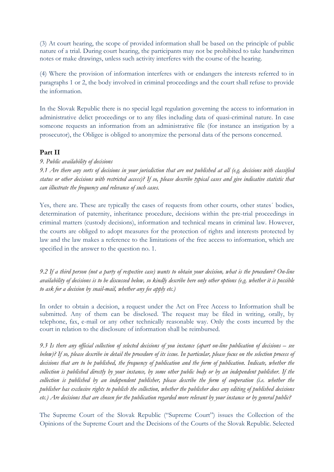(3) At court hearing, the scope of provided information shall be based on the principle of public nature of a trial. During court hearing, the participants may not be prohibited to take handwritten notes or make drawings, unless such activity interferes with the course of the hearing.

(4) Where the provision of information interferes with or endangers the interests referred to in paragraphs 1 or 2, the body involved in criminal proceedings and the court shall refuse to provide the information.

In the Slovak Republic there is no special legal regulation governing the access to information in administrative delict proceedings or to any files including data of quasi-criminal nature. In case someone requests an information from an administrative file (for instance an instigation by a prosecutor), the Obligee is obliged to anonymize the personal data of the persons concerned.

## **Part II**

### *9. Public availability of decisions*

*9.1 Are there any sorts of decisions in your jurisdiction that are not published at all (e.g. decisions with classified status or other decisions with restricted access)? If so, please describe typical cases and give indicative statistic that can illustrate the frequency and relevance of such cases.*

Yes, there are. These are typically the cases of requests from other courts, other states´ bodies, determination of paternity, inheritance procedure, decisions within the pre-trial proceedings in criminal matters (custody decisions), information and technical means in criminal law. However, the courts are obliged to adopt measures for the protection of rights and interests protected by law and the law makes a reference to the limitations of the free access to information, which are specified in the answer to the question no. 1.

*9.2 If a third person (not a party of respective case) wants to obtain your decision, what is the procedure? On-line availability of decisions is to be discussed below, so kindly describe here only other options (e.g. whether it is possible to ask for a decision by snail-mail, whether any fee apply etc.)*

In order to obtain a decision, a request under the Act on Free Access to Information shall be submitted. Any of them can be disclosed. The request may be filed in writing, orally, by telephone, fax, e-mail or any other technically reasonable way. Only the costs incurred by the court in relation to the disclosure of information shall be reimbursed.

*9.3 Is there any official collection of selected decisions of you instance (apart on-line publication of decisions – see below)? If so, please describe in detail the procedure of its issue. In particular, please focus on the selection process of decisions that are to be published, the frequency of publication and the form of publication. Indicate, whether the collection is published directly by your instance, by some other public body or by an independent publisher. If the collection is published by an independent publisher, please describe the form of cooperation (i.e. whether the publisher has exclusive rights to publish the collection, whether the publisher does any editing of published decisions etc.) Are decisions that are chosen for the publication regarded more relevant by your instance or by general public?*

The Supreme Court of the Slovak Republic ("Supreme Court") issues the Collection of the Opinions of the Supreme Court and the Decisions of the Courts of the Slovak Republic. Selected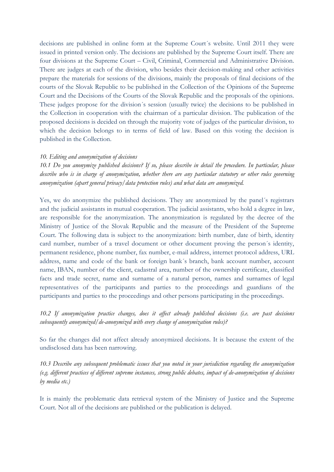decisions are published in online form at the Supreme Court´s website. Until 2011 they were issued in printed version only. The decisions are published by the Supreme Court itself. There are four divisions at the Supreme Court – Civil, Criminal, Commercial and Administrative Division. There are judges at each of the division, who besides their decision-making and other activities prepare the materials for sessions of the divisions, mainly the proposals of final decisions of the courts of the Slovak Republic to be published in the Collection of the Opinions of the Supreme Court and the Decisions of the Courts of the Slovak Republic and the proposals of the opinions. These judges propose for the division´s session (usually twice) the decisions to be published in the Collection in cooperation with the chairman of a particular division. The publication of the proposed decisions is decided on through the majority vote of judges of the particular division, to which the decision belongs to in terms of field of law. Based on this voting the decision is published in the Collection.

#### *10. Editing and anonymization of decisions*

*10.1 Do you anonymize published decisions? If so, please describe in detail the procedure. In particular, please describe who is in charge of anonymization, whether there are any particular statutory or other rules governing anonymization (apart general privacy/data protection rules) and what data are anonymized.*

Yes, we do anonymize the published decisions. They are anonymized by the panel´s registrars and the judicial assistants in mutual cooperation. The judicial assistants, who hold a degree in law, are responsible for the anonymization. The anonymization is regulated by the decree of the Ministry of Justice of the Slovak Republic and the measure of the President of the Supreme Court. The following data is subject to the anonymization: birth number, date of birth, identity card number, number of a travel document or other document proving the person´s identity, permanent residence, phone number, fax number, e-mail address, internet protocol address, URL address, name and code of the bank or foreign bank´s branch, bank account number, account name, IBAN, number of the client, cadastral area, number of the ownership certificate, classified facts and trade secret, name and surname of a natural person, names and surnames of legal representatives of the participants and parties to the proceedings and guardians of the participants and parties to the proceedings and other persons participating in the proceedings.

*10.2 If anonymization practice changes, does it affect already published decisions (i.e. are past decisions subsequently anonymized/de-anonymized with every change of anonymization rules)?*

So far the changes did not affect already anonymized decisions. It is because the extent of the undisclosed data has been narrowing.

*10.3 Describe any subsequent problematic issues that you noted in your jurisdiction regarding the anonymization (e.g. different practices of different supreme instances, strong public debates, impact of de-anonymization of decisions by media etc.)*

It is mainly the problematic data retrieval system of the Ministry of Justice and the Supreme Court. Not all of the decisions are published or the publication is delayed.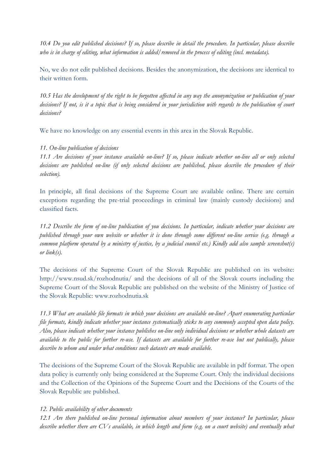*10.4 Do you edit published decisions? If so, please describe in detail the procedure. In particular, please describe who is in charge of editing, what information is added/removed in the process of editing (incl. metadata).*

No, we do not edit published decisions. Besides the anonymization, the decisions are identical to their written form.

*10.5 Has the development of the right to be forgotten affected in any way the anonymization or publication of your decisions? If not, is it a topic that is being considered in your jurisdiction with regards to the publication of court decisions?*

We have no knowledge on any essential events in this area in the Slovak Republic.

## *11. On-line publication of decisions*

*11.1 Are decisions of your instance available on-line? If so, please indicate whether on-line all or only selected decisions are published on-line (if only selected decisions are published, please describe the procedure of their selection).*

In principle, all final decisions of the Supreme Court are available online. There are certain exceptions regarding the pre-trial proceedings in criminal law (mainly custody decisions) and classified facts.

*11.2 Describe the form of on-line publication of you decisions. In particular, indicate whether your decisions are published through your own website or whether it is done through some different on-line service (e.g. through a common platform operated by a ministry of justice, by a judicial council etc.) Kindly add also sample screenshot(s) or link(s).*

The decisions of the Supreme Court of the Slovak Republic are published on its website: <http://www.nsud.sk/rozhodnutia/> and the decisions of all of the Slovak courts including the Supreme Court of the Slovak Republic are published on the website of the Ministry of Justice of the Slovak Republic: www.rozhodnutia.sk

*11.3 What are available file formats in which your decisions are available on-line? Apart enumerating particular file formats, kindly indicate whether your instance systematically sticks to any commonly accepted open data policy. Also, please indicate whether your instance publishes on-line only individual decisions or whether whole datasets are available to the public for further re-use. If datasets are available for further re-use but not publically, please describe to whom and under what conditions such datasets are made available.*

The decisions of the Supreme Court of the Slovak Republic are available in pdf format. The open data policy is currently only being considered at the Supreme Court. Only the individual decisions and the Collection of the Opinions of the Supreme Court and the Decisions of the Courts of the Slovak Republic are published.

## *12. Public availability of other documents*

*12.1 Are there published on-line personal information about members of your instance? In particular, please*  describe whether there are CVs available, in which length and form (e.g. on a court website) and eventually what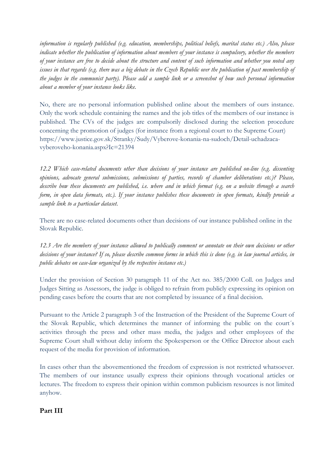*information is regularly published (e.g. education, memberships, political beliefs, marital status etc.) Also, please indicate whether the publication of information about members of your instance is compulsory, whether the members of your instance are free to decide about the structure and content of such information and whether you noted any*  issues in that regards (e.g. there was a big debate in the Czech Republic over the publication of past membership of *the judges in the communist party). Please add a sample link or a screenshot of how such personal information about a member of your instance looks like.*

No, there are no personal information published online about the members of ours instance. Only the work schedule containing the names and the job titles of the members of our instance is published. The CVs of the judges are compulsorily disclosed during the selection procedure concerning the promotion of judges (for instance from a regional court to the Supreme Court) https://www.justice.gov.sk/Stranky/Sudy/Vyberove-konania-na-sudoch/Detail-uchadzacavyberoveho-konania.aspx?Ic=21394

*12.2 Which case-related documents other than decisions of your instance are published on-line (e.g. dissenting opinions, advocate general submissions, submissions of parties, records of chamber deliberations etc.)? Please, describe how these documents are published, i.e. where and in which format (e.g. on a website through a search form, in open data formats, etc.). If your instance publishes these documents in open formats, kindly provide a sample link to a particular dataset.*

There are no case-related documents other than decisions of our instance published online in the Slovak Republic.

*12.3 Are the members of your instance allowed to publically comment or annotate on their own decisions or other decisions of your instance? If so, please describe common forms in which this is done (e.g. in law journal articles, in public debates on case-law organized by the respective instance etc.)*

Under the provision of Section 30 paragraph 11 of the Act no. 385/2000 Coll. on Judges and Judges Sitting as Assessors, the judge is obliged to refrain from publicly expressing its opinion on pending cases before the courts that are not completed by issuance of a final decision.

Pursuant to the Article 2 paragraph 3 of the Instruction of the President of the Supreme Court of the Slovak Republic, which determines the manner of informing the public on the court´s activities through the press and other mass media, the judges and other employees of the Supreme Court shall without delay inform the Spokesperson or the Office Director about each request of the media for provision of information.

In cases other than the abovementioned the freedom of expression is not restricted whatsoever. The members of our instance usually express their opinions through vocational articles or lectures. The freedom to express their opinion within common publicism resources is not limited anyhow.

## **Part III**